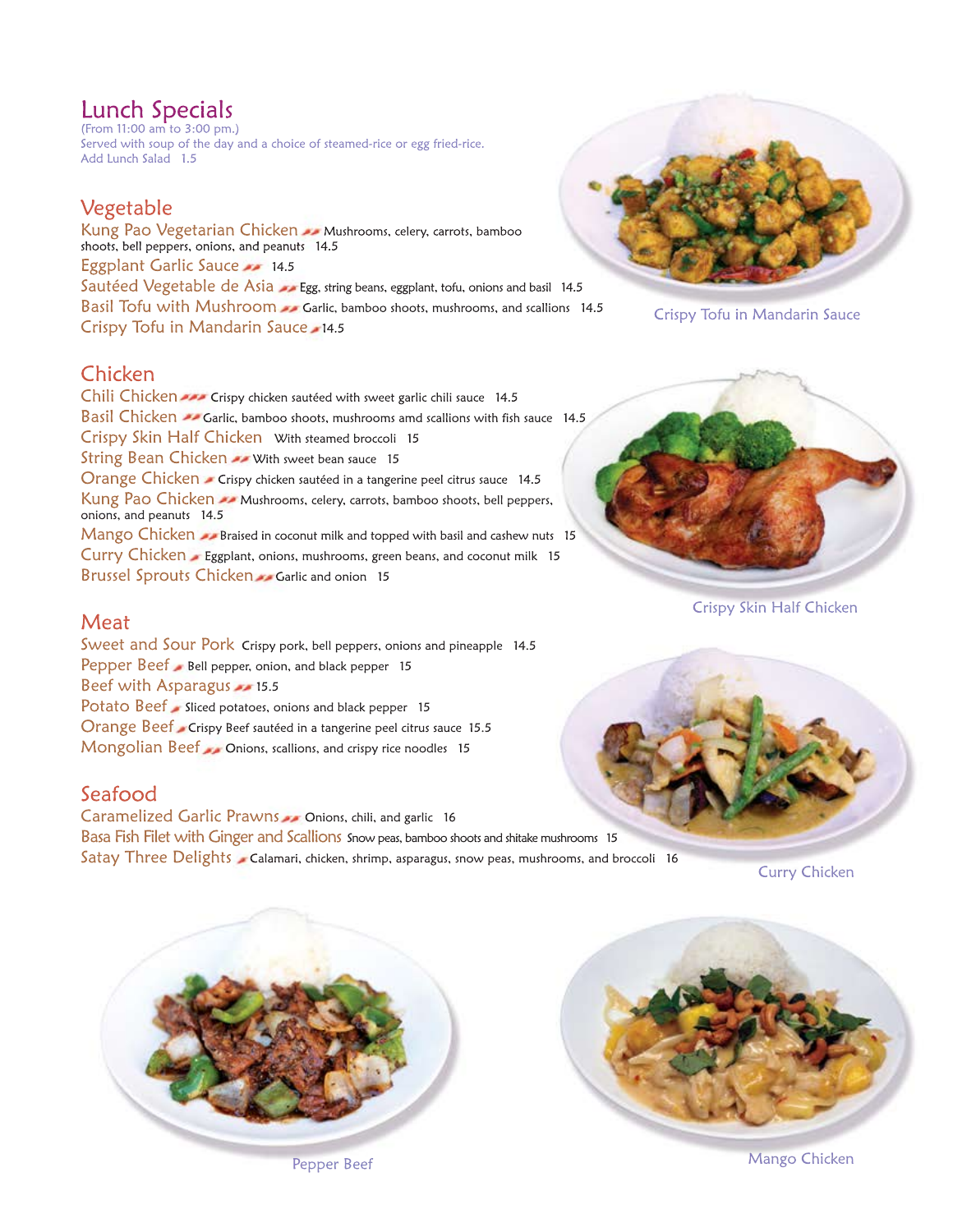# Lunch Specials

(From 11:00 am to 3:00 pm.) Served with soup of the day and a choice of steamed-rice or egg fried-rice. Add Lunch Salad 1.5

### Vegetable

Kung Pao Vegetarian Chicken Mushrooms, celery, carrots, bamboo shoots, bell peppers, onions, and peanuts 14.5 Eggplant Garlic Sauce 22 14.5 Sautéed Vegetable de Asia Egg, string beans, eggplant, tofu, onions and basil 14.5 Basil Tofu with Mushroom Garlic, bamboo shoots, mushrooms, and scallions 14.5 Crispy Tofu in Mandarin Sauce 14.5

## Chicken

Chili Chicken **AND** Crispy chicken sautéed with sweet garlic chili sauce 14.5 Basil Chicken  $\rightarrow$  Garlic, bamboo shoots, mushrooms amd scallions with fish sauce 14.5 Crispy Skin Half Chicken With steamed broccoli 15 String Bean Chicken **AN** With sweet bean sauce 15 Orange Chicken - Crispy chicken sautéed in a tangerine peel citrus sauce 14.5 Kung Pao Chicken **Mushrooms**, celery, carrots, bamboo shoots, bell peppers, onions, and peanuts 14.5 Mango Chicken Braised in coconut milk and topped with basil and cashew nuts 15 Curry Chicken - Eggplant, onions, mushrooms, green beans, and coconut milk 15 Brussel Sprouts Chicken Garlic and onion 15



Crispy Tofu in Mandarin Sauce

Crispy Skin Half Chicken

### **Meat**

Sweet and Sour Pork Crispy pork, bell peppers, onions and pineapple 14.5 Pepper Beef Bell pepper, onion, and black pepper 15 Beef with Asparagus **15.5** Potato Beef Sliced potatoes, onions and black pepper 15 Orange Beef Crispy Beef sautéed in a tangerine peel citrus sauce 15.5 Mongolian Beef Conions, scallions, and crispy rice noodles 15

### Seafood

Caramelized Garlic Prawns Conions, chili, and garlic 16 Basa Fish Filet with Ginger and Scallions Snow peas, bamboo shoots and shitake mushrooms 15 Satay Three Delights Calamari, chicken, shrimp, asparagus, snow peas, mushrooms, and broccoli 16

**Curry Chicken** 





Pepper Beef Mango Chicken Mango Chicken Mango Chicken Mango Chicken Mango Chicken